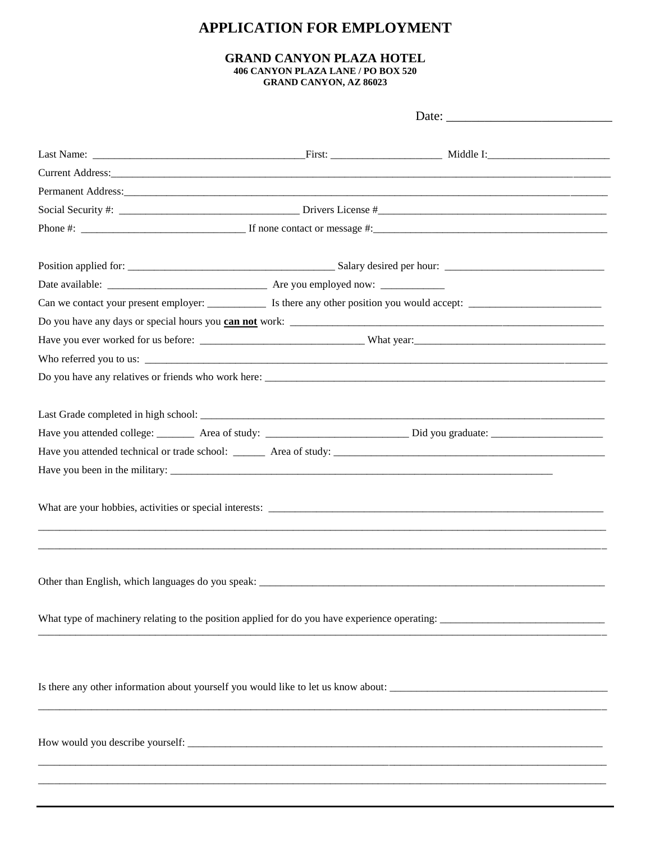## **APPLICATION FOR EMPLOYMENT**

## **GRAND CANYON PLAZA HOTEL** 406 CANYON PLAZA LANE / PO BOX 520 **GRAND CANYON, AZ 86023**

 $\overline{a}$ 

|                                                                                                                                                                                                                               | Date: $\qquad \qquad$ |                                                                                                                       |  |  |  |
|-------------------------------------------------------------------------------------------------------------------------------------------------------------------------------------------------------------------------------|-----------------------|-----------------------------------------------------------------------------------------------------------------------|--|--|--|
|                                                                                                                                                                                                                               |                       |                                                                                                                       |  |  |  |
| Current Address: No. 2014 19:30 and 20:30 and 20:30 and 20:30 and 20:30 and 20:30 and 20:30 and 20:30 and 20:30 and 20:30 and 20:30 and 20:30 and 20:30 and 20:30 and 20:30 and 20:30 and 20:30 and 20:30 and 20:30 and 20:30 |                       |                                                                                                                       |  |  |  |
|                                                                                                                                                                                                                               |                       |                                                                                                                       |  |  |  |
| Social Security #: $\frac{1}{2}$ Drivers License # $\frac{1}{2}$ Drivers License # $\frac{1}{2}$                                                                                                                              |                       |                                                                                                                       |  |  |  |
|                                                                                                                                                                                                                               |                       |                                                                                                                       |  |  |  |
|                                                                                                                                                                                                                               |                       |                                                                                                                       |  |  |  |
|                                                                                                                                                                                                                               |                       |                                                                                                                       |  |  |  |
|                                                                                                                                                                                                                               |                       |                                                                                                                       |  |  |  |
|                                                                                                                                                                                                                               |                       |                                                                                                                       |  |  |  |
|                                                                                                                                                                                                                               |                       |                                                                                                                       |  |  |  |
|                                                                                                                                                                                                                               |                       |                                                                                                                       |  |  |  |
|                                                                                                                                                                                                                               |                       |                                                                                                                       |  |  |  |
|                                                                                                                                                                                                                               |                       |                                                                                                                       |  |  |  |
|                                                                                                                                                                                                                               |                       |                                                                                                                       |  |  |  |
|                                                                                                                                                                                                                               |                       |                                                                                                                       |  |  |  |
|                                                                                                                                                                                                                               |                       |                                                                                                                       |  |  |  |
|                                                                                                                                                                                                                               |                       |                                                                                                                       |  |  |  |
|                                                                                                                                                                                                                               |                       |                                                                                                                       |  |  |  |
| What type of machinery relating to the position applied for do you have experience operating:                                                                                                                                 |                       |                                                                                                                       |  |  |  |
|                                                                                                                                                                                                                               |                       | <u> 1980 - Johann Stoff, disk foar it ferstjer it ferstjer it ferstjer fan de ferstjer fan de ferstjer fan de fer</u> |  |  |  |
|                                                                                                                                                                                                                               |                       |                                                                                                                       |  |  |  |
|                                                                                                                                                                                                                               |                       |                                                                                                                       |  |  |  |